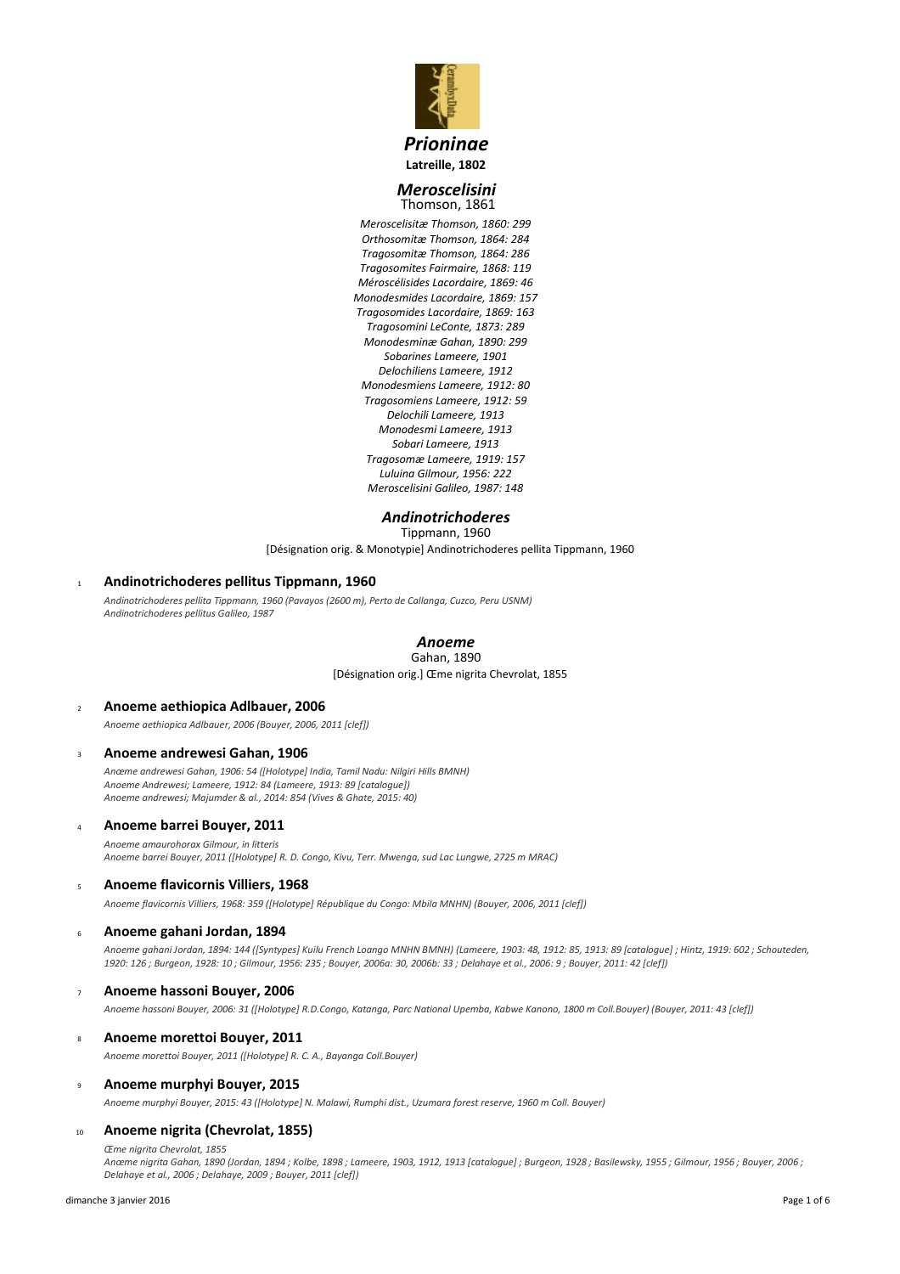

# *Prioninae* **Latreille, 1802**

### *Meroscelisini* Thomson, 1861

*Meroscelisitæ Thomson, 1860: 299 Orthosomitæ Thomson, 1864: 284 Tragosomitæ Thomson, 1864: 286 Tragosomites Fairmaire, 1868: 119 Méroscélisides Lacordaire, 1869: 46 Monodesmides Lacordaire, 1869: 157 Tragosomides Lacordaire, 1869: 163 Tragosomini LeConte, 1873: 289 Monodesminæ Gahan, 1890: 299 Sobarines Lameere, 1901 Delochiliens Lameere, 1912 Monodesmiens Lameere, 1912: 80 Tragosomiens Lameere, 1912: 59 Delochili Lameere, 1913 Monodesmi Lameere, 1913 Sobari Lameere, 1913 Tragosomæ Lameere, 1919: 157 Luluina Gilmour, 1956: 222 Meroscelisini Galileo, 1987: 148*

# *Andinotrichoderes*

[Désignation orig. & Monotypie] Andinotrichoderes pellita Tippmann, 1960 Tippmann, 1960

# <sup>1</sup> **Andinotrichoderes pellitus Tippmann, 1960**

*Andinotrichoderes pellita Tippmann, 1960 (Pavayos (2600 m), Perto de Callanga, Cuzco, Peru USNM) Andinotrichoderes pellitus Galileo, 1987*

# *Anoeme*

[Désignation orig.] Œme nigrita Chevrolat, 1855 Gahan, 1890

# <sup>2</sup> **Anoeme aethiopica Adlbauer, 2006** *Anoeme aethiopica Adlbauer, 2006 (Bouyer, 2006, 2011 [clef])*

# <sup>3</sup> **Anoeme andrewesi Gahan, 1906**

*Anœme andrewesi Gahan, 1906: 54 ([Holotype] India, Tamil Nadu: Nilgiri Hills BMNH) Anoeme Andrewesi; Lameere, 1912: 84 (Lameere, 1913: 89 [catalogue]) Anoeme andrewesi; Majumder & al., 2014: 854 (Vives & Ghate, 2015: 40)*

# <sup>4</sup> **Anoeme barrei Bouyer, 2011**

*Anoeme amaurohorax Gilmour, in litteris Anoeme barrei Bouyer, 2011 ([Holotype] R. D. Congo, Kivu, Terr. Mwenga, sud Lac Lungwe, 2725 m MRAC)*

# <sup>5</sup> **Anoeme flavicornis Villiers, 1968**

*Anoeme flavicornis Villiers, 1968: 359 ([Holotype] République du Congo: Mbila MNHN) (Bouyer, 2006, 2011 [clef])*

# <sup>6</sup> **Anoeme gahani Jordan, 1894**

*Anoeme gahani Jordan, 1894: 144 ([Syntypes] Kuilu French Loango MNHN BMNH) (Lameere, 1903: 48, 1912: 85, 1913: 89 [catalogue] ; Hintz, 1919: 602 ; Schouteden, 1920: 126 ; Burgeon, 1928: 10 ; Gilmour, 1956: 235 ; Bouyer, 2006a: 30, 2006b: 33 ; Delahaye et al., 2006: 9 ; Bouyer, 2011: 42 [clef])*

# <sup>7</sup> **Anoeme hassoni Bouyer, 2006**

*Anoeme hassoni Bouyer, 2006: 31 ([Holotype] R.D.Congo, Katanga, Parc National Upemba, Kabwe Kanono, 1800 m Coll.Bouyer) (Bouyer, 2011: 43 [clef])*

# <sup>8</sup> **Anoeme morettoi Bouyer, 2011**

*Anoeme morettoi Bouyer, 2011 ([Holotype] R. C. A., Bayanga Coll.Bouyer)*

# <sup>9</sup> **Anoeme murphyi Bouyer, 2015**

*Anoeme murphyi Bouyer, 2015: 43 ([Holotype] N. Malawi, Rumphi dist., Uzumara forest reserve, 1960 m Coll. Bouyer)*

# <sup>10</sup> **Anoeme nigrita (Chevrolat, 1855)**

*Œme nigrita Chevrolat, 1855*

*Anœme nigrita Gahan, 1890 (Jordan, 1894 ; Kolbe, 1898 ; Lameere, 1903, 1912, 1913 [catalogue] ; Burgeon, 1928 ; Basilewsky, 1955 ; Gilmour, 1956 ; Bouyer, 2006 ; Delahaye et al., 2006 ; Delahaye, 2009 ; Bouyer, 2011 [clef])*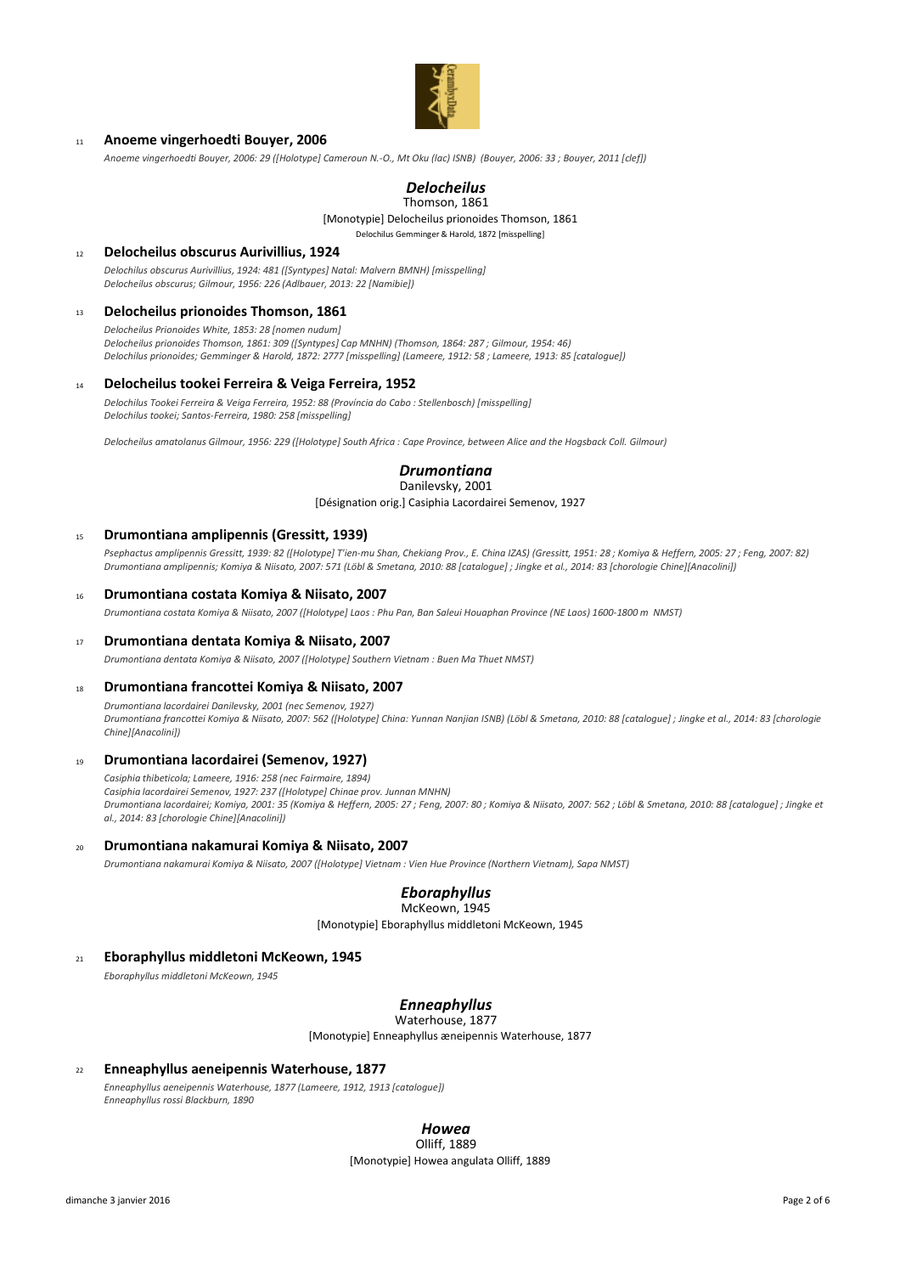

### <sup>11</sup> **Anoeme vingerhoedti Bouyer, 2006**

*Anoeme vingerhoedti Bouyer, 2006: 29 ([Holotype] Cameroun N.-O., Mt Oku (lac) ISNB) (Bouyer, 2006: 33 ; Bouyer, 2011 [clef])*

# *Delocheilus*

[Monotypie] Delocheilus prionoides Thomson, 1861 Delochilus Gemminger & Harold, 1872 [misspelling] Thomson, 1861

<sup>12</sup> **Delocheilus obscurus Aurivillius, 1924**

*Delochilus obscurus Aurivillius, 1924: 481 ([Syntypes] Natal: Malvern BMNH) [misspelling] Delocheilus obscurus; Gilmour, 1956: 226 (Adlbauer, 2013: 22 [Namibie])*

#### <sup>13</sup> **Delocheilus prionoides Thomson, 1861**

*Delocheilus Prionoides White, 1853: 28 [nomen nudum] Delocheilus prionoides Thomson, 1861: 309 ([Syntypes] Cap MNHN) (Thomson, 1864: 287 ; Gilmour, 1954: 46) Delochilus prionoides; Gemminger & Harold, 1872: 2777 [misspelling] (Lameere, 1912: 58 ; Lameere, 1913: 85 [catalogue])*

### <sup>14</sup> **Delocheilus tookei Ferreira & Veiga Ferreira, 1952**

*Delochilus Tookei Ferreira & Veiga Ferreira, 1952: 88 (Província do Cabo : Stellenbosch) [misspelling] Delochilus tookei; Santos-Ferreira, 1980: 258 [misspelling]*

*Delocheilus amatolanus Gilmour, 1956: 229 ([Holotype] South Africa : Cape Province, between Alice and the Hogsback Coll. Gilmour)*

# *Drumontiana*

[Désignation orig.] Casiphia Lacordairei Semenov, 1927 Danilevsky, 2001

#### <sup>15</sup> **Drumontiana amplipennis (Gressitt, 1939)**

*Psephactus amplipennis Gressitt, 1939: 82 ([Holotype] T'ien-mu Shan, Chekiang Prov., E. China IZAS) (Gressitt, 1951: 28 ; Komiya & Heffern, 2005: 27 ; Feng, 2007: 82) Drumontiana amplipennis; Komiya & Niisato, 2007: 571 (Löbl & Smetana, 2010: 88 [catalogue] ; Jingke et al., 2014: 83 [chorologie Chine][Anacolini])*

#### <sup>16</sup> **Drumontiana costata Komiya & Niisato, 2007**

*Drumontiana costata Komiya & Niisato, 2007 ([Holotype] Laos : Phu Pan, Ban Saleui Houaphan Province (NE Laos) 1600-1800 m NMST)*

#### <sup>17</sup> **Drumontiana dentata Komiya & Niisato, 2007**

*Drumontiana dentata Komiya & Niisato, 2007 ([Holotype] Southern Vietnam : Buen Ma Thuet NMST)*

### <sup>18</sup> **Drumontiana francottei Komiya & Niisato, 2007**

*Drumontiana lacordairei Danilevsky, 2001 (nec Semenov, 1927) Drumontiana francottei Komiya & Niisato, 2007: 562 ([Holotype] China: Yunnan Nanjian ISNB) (Löbl & Smetana, 2010: 88 [catalogue] ; Jingke et al., 2014: 83 [chorologie Chine][Anacolini])*

# <sup>19</sup> **Drumontiana lacordairei (Semenov, 1927)**

*Casiphia thibeticola; Lameere, 1916: 258 (nec Fairmaire, 1894) Casiphia lacordairei Semenov, 1927: 237 ([Holotype] Chinae prov. Junnan MNHN) Drumontiana lacordairei; Komiya, 2001: 35 (Komiya & Heffern, 2005: 27 ; Feng, 2007: 80 ; Komiya & Niisato, 2007: 562 ; Löbl & Smetana, 2010: 88 [catalogue] ; Jingke et al., 2014: 83 [chorologie Chine][Anacolini])*

#### <sup>20</sup> **Drumontiana nakamurai Komiya & Niisato, 2007**

*Drumontiana nakamurai Komiya & Niisato, 2007 ([Holotype] Vietnam : Vien Hue Province (Northern Vietnam), Sapa NMST)*

# *Eboraphyllus*

[Monotypie] Eboraphyllus middletoni McKeown, 1945 McKeown, 1945

### <sup>21</sup> **Eboraphyllus middletoni McKeown, 1945**

*Eboraphyllus middletoni McKeown, 1945*

### *Enneaphyllus*

Waterhouse, 1877

[Monotypie] Enneaphyllus æneipennis Waterhouse, 1877

#### <sup>22</sup> **Enneaphyllus aeneipennis Waterhouse, 1877**

*Enneaphyllus aeneipennis Waterhouse, 1877 (Lameere, 1912, 1913 [catalogue]) Enneaphyllus rossi Blackburn, 1890*

#### *Howea* Olliff, 1889

[Monotypie] Howea angulata Olliff, 1889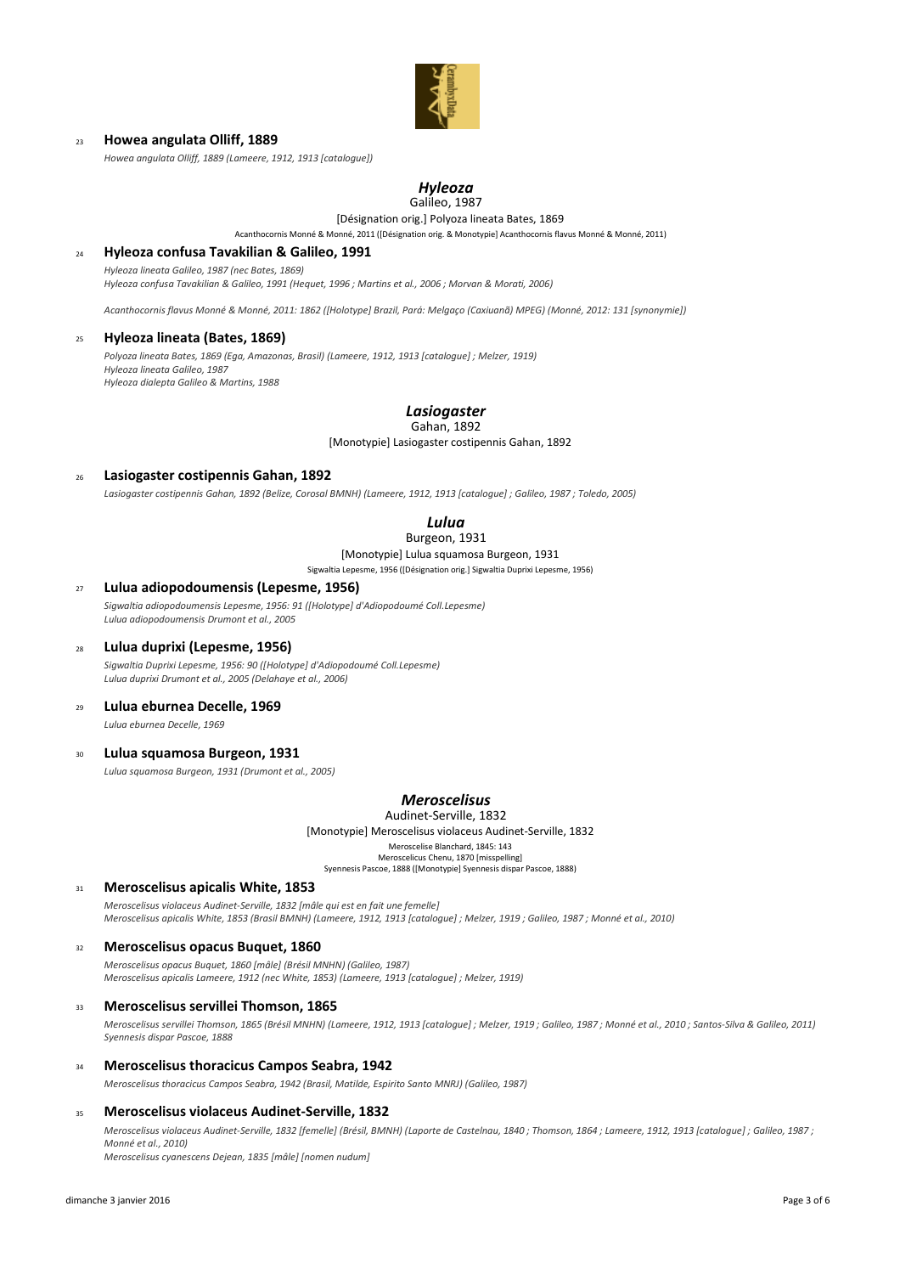

### <sup>23</sup> **Howea angulata Olliff, 1889**

*Howea angulata Olliff, 1889 (Lameere, 1912, 1913 [catalogue])*

# *Hyleoza*

# Galileo, 1987

[Désignation orig.] Polyoza lineata Bates, 1869 Acanthocornis Monné & Monné, 2011 ([Désignation orig. & Monotypie] Acanthocornis flavus Monné & Monné, 2011)

#### <sup>24</sup> **Hyleoza confusa Tavakilian & Galileo, 1991**

*Hyleoza lineata Galileo, 1987 (nec Bates, 1869)*

*Hyleoza confusa Tavakilian & Galileo, 1991 (Hequet, 1996 ; Martins et al., 2006 ; Morvan & Morati, 2006)*

*Acanthocornis flavus Monné & Monné, 2011: 1862 ([Holotype] Brazil, Pará: Melgaço (Caxiuanã) MPEG) (Monné, 2012: 131 [synonymie])*

## <sup>25</sup> **Hyleoza lineata (Bates, 1869)**

*Polyoza lineata Bates, 1869 (Ega, Amazonas, Brasil) (Lameere, 1912, 1913 [catalogue] ; Melzer, 1919) Hyleoza lineata Galileo, 1987 Hyleoza dialepta Galileo & Martins, 1988*

#### *Lasiogaster* Gahan, 1892

[Monotypie] Lasiogaster costipennis Gahan, 1892

#### <sup>26</sup> **Lasiogaster costipennis Gahan, 1892**

*Lasiogaster costipennis Gahan, 1892 (Belize, Corosal BMNH) (Lameere, 1912, 1913 [catalogue] ; Galileo, 1987 ; Toledo, 2005)*

# *Lulua*

# Burgeon, 1931

[Monotypie] Lulua squamosa Burgeon, 1931 Sigwaltia Lepesme, 1956 ([Désignation orig.] Sigwaltia Duprixi Lepesme, 1956)

# <sup>27</sup> **Lulua adiopodoumensis (Lepesme, 1956)**

*Sigwaltia adiopodoumensis Lepesme, 1956: 91 ([Holotype] d'Adiopodoumé Coll.Lepesme) Lulua adiopodoumensis Drumont et al., 2005*

#### <sup>28</sup> **Lulua duprixi (Lepesme, 1956)**

*Sigwaltia Duprixi Lepesme, 1956: 90 ([Holotype] d'Adiopodoumé Coll.Lepesme) Lulua duprixi Drumont et al., 2005 (Delahaye et al., 2006)*

### <sup>29</sup> **Lulua eburnea Decelle, 1969**

*Lulua eburnea Decelle, 1969*

# <sup>30</sup> **Lulua squamosa Burgeon, 1931**

*Lulua squamosa Burgeon, 1931 (Drumont et al., 2005)*

# *Meroscelisus*

[Monotypie] Meroscelisus violaceus Audinet-Serville, 1832 Meroscelise Blanchard, 1845: 143 Meroscelicus Chenu, 1870 [misspelling] Syennesis Pascoe, 1888 ([Monotypie] Syennesis dispar Pascoe, 1888) Audinet-Serville, 1832

### <sup>31</sup> **Meroscelisus apicalis White, 1853**

*Meroscelisus violaceus Audinet-Serville, 1832 [mâle qui est en fait une femelle] Meroscelisus apicalis White, 1853 (Brasil BMNH) (Lameere, 1912, 1913 [catalogue] ; Melzer, 1919 ; Galileo, 1987 ; Monné et al., 2010)*

#### <sup>32</sup> **Meroscelisus opacus Buquet, 1860**

*Meroscelisus opacus Buquet, 1860 [mâle] (Brésil MNHN) (Galileo, 1987) Meroscelisus apicalis Lameere, 1912 (nec White, 1853) (Lameere, 1913 [catalogue] ; Melzer, 1919)*

#### <sup>33</sup> **Meroscelisus servillei Thomson, 1865**

*Meroscelisus servillei Thomson, 1865 (Brésil MNHN) (Lameere, 1912, 1913 [catalogue] ; Melzer, 1919 ; Galileo, 1987 ; Monné et al., 2010 ; Santos-Silva & Galileo, 2011) Syennesis dispar Pascoe, 1888*

## <sup>34</sup> **Meroscelisus thoracicus Campos Seabra, 1942**

*Meroscelisus thoracicus Campos Seabra, 1942 (Brasil, Matilde, Espirito Santo MNRJ) (Galileo, 1987)*

#### <sup>35</sup> **Meroscelisus violaceus Audinet-Serville, 1832**

*Meroscelisus violaceus Audinet-Serville, 1832 [femelle] (Brésil, BMNH) (Laporte de Castelnau, 1840 ; Thomson, 1864 ; Lameere, 1912, 1913 [catalogue] ; Galileo, 1987 ; Monné et al., 2010) Meroscelisus cyanescens Dejean, 1835 [mâle] [nomen nudum]*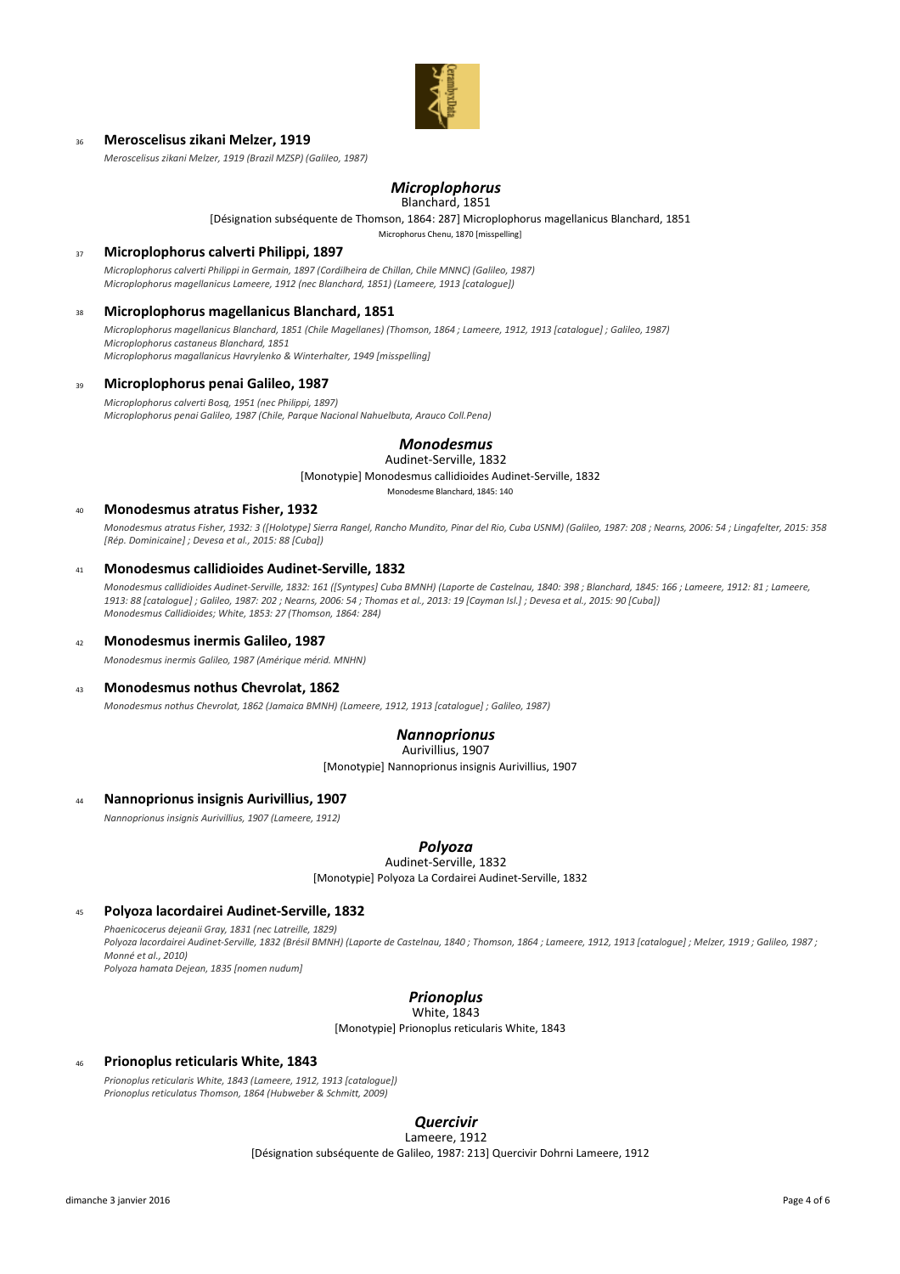

### <sup>36</sup> **Meroscelisus zikani Melzer, 1919**

*Meroscelisus zikani Melzer, 1919 (Brazil MZSP) (Galileo, 1987)*

# *Microplophorus*

#### Blanchard, 1851

[Désignation subséquente de Thomson, 1864: 287] Microplophorus magellanicus Blanchard, 1851

Microphorus Chenu, 1870 [misspelling]

## <sup>37</sup> **Microplophorus calverti Philippi, 1897**

*Microplophorus calverti Philippi in Germain, 1897 (Cordilheira de Chillan, Chile MNNC) (Galileo, 1987) Microplophorus magellanicus Lameere, 1912 (nec Blanchard, 1851) (Lameere, 1913 [catalogue])*

### <sup>38</sup> **Microplophorus magellanicus Blanchard, 1851**

*Microplophorus magellanicus Blanchard, 1851 (Chile Magellanes) (Thomson, 1864 ; Lameere, 1912, 1913 [catalogue] ; Galileo, 1987) Microplophorus castaneus Blanchard, 1851 Microplophorus magallanicus Havrylenko & Winterhalter, 1949 [misspelling]*

### <sup>39</sup> **Microplophorus penai Galileo, 1987**

*Microplophorus calverti Bosq, 1951 (nec Philippi, 1897) Microplophorus penai Galileo, 1987 (Chile, Parque Nacional Nahuelbuta, Arauco Coll.Pena)*

> *Monodesmus* Audinet-Serville, 1832

[Monotypie] Monodesmus callidioides Audinet-Serville, 1832

Monodesme Blanchard, 1845: 140

### <sup>40</sup> **Monodesmus atratus Fisher, 1932**

*Monodesmus atratus Fisher, 1932: 3 ([Holotype] Sierra Rangel, Rancho Mundito, Pinar del Rio, Cuba USNM) (Galileo, 1987: 208 ; Nearns, 2006: 54 ; Lingafelter, 2015: 358 [Rép. Dominicaine] ; Devesa et al., 2015: 88 [Cuba])*

### <sup>41</sup> **Monodesmus callidioides Audinet-Serville, 1832**

*Monodesmus callidioides Audinet-Serville, 1832: 161 ([Syntypes] Cuba BMNH) (Laporte de Castelnau, 1840: 398 ; Blanchard, 1845: 166 ; Lameere, 1912: 81 ; Lameere, 1913: 88 [catalogue] ; Galileo, 1987: 202 ; Nearns, 2006: 54 ; Thomas et al., 2013: 19 [Cayman Isl.] ; Devesa et al., 2015: 90 [Cuba]) Monodesmus Callidioides; White, 1853: 27 (Thomson, 1864: 284)*

### <sup>42</sup> **Monodesmus inermis Galileo, 1987**

*Monodesmus inermis Galileo, 1987 (Amérique mérid. MNHN)*

### <sup>43</sup> **Monodesmus nothus Chevrolat, 1862**

*Monodesmus nothus Chevrolat, 1862 (Jamaica BMNH) (Lameere, 1912, 1913 [catalogue] ; Galileo, 1987)*

# *Nannoprionus*

[Monotypie] Nannoprionus insignis Aurivillius, 1907 Aurivillius, 1907

### <sup>44</sup> **Nannoprionus insignis Aurivillius, 1907**

*Nannoprionus insignis Aurivillius, 1907 (Lameere, 1912)*

### *Polyoza*

[Monotypie] Polyoza La Cordairei Audinet-Serville, 1832 Audinet-Serville, 1832

### <sup>45</sup> **Polyoza lacordairei Audinet-Serville, 1832**

*Phaenicocerus dejeanii Gray, 1831 (nec Latreille, 1829) Polyoza lacordairei Audinet-Serville, 1832 (Brésil BMNH) (Laporte de Castelnau, 1840 ; Thomson, 1864 ; Lameere, 1912, 1913 [catalogue] ; Melzer, 1919 ; Galileo, 1987 ; Monné et al., 2010)*

*Polyoza hamata Dejean, 1835 [nomen nudum]*

# *Prionoplus*

[Monotypie] Prionoplus reticularis White, 1843 White, 1843

# <sup>46</sup> **Prionoplus reticularis White, 1843**

*Prionoplus reticularis White, 1843 (Lameere, 1912, 1913 [catalogue]) Prionoplus reticulatus Thomson, 1864 (Hubweber & Schmitt, 2009)*

# *Quercivir*

[Désignation subséquente de Galileo, 1987: 213] Quercivir Dohrni Lameere, 1912 Lameere, 1912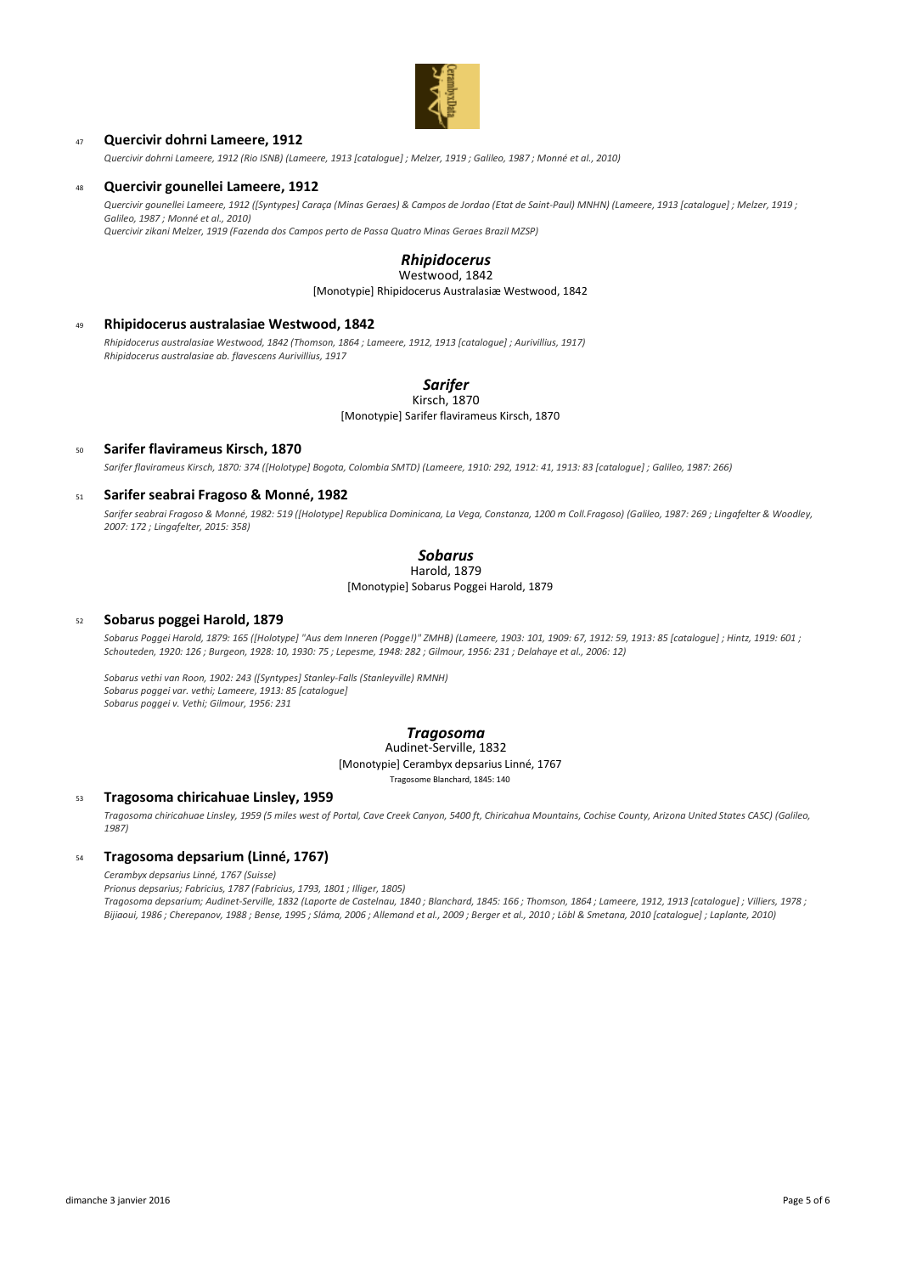

# <sup>47</sup> **Quercivir dohrni Lameere, 1912**

*Quercivir dohrni Lameere, 1912 (Rio ISNB) (Lameere, 1913 [catalogue] ; Melzer, 1919 ; Galileo, 1987 ; Monné et al., 2010)*

### <sup>48</sup> **Quercivir gounellei Lameere, 1912**

*Quercivir gounellei Lameere, 1912 ([Syntypes] Caraça (Minas Geraes) & Campos de Jordao (Etat de Saint-Paul) MNHN) (Lameere, 1913 [catalogue] ; Melzer, 1919 ;* 

*Galileo, 1987 ; Monné et al., 2010) Quercivir zikani Melzer, 1919 (Fazenda dos Campos perto de Passa Quatro Minas Geraes Brazil MZSP)*

# *Rhipidocerus*

[Monotypie] Rhipidocerus Australasiæ Westwood, 1842 Westwood, 1842

## <sup>49</sup> **Rhipidocerus australasiae Westwood, 1842**

*Rhipidocerus australasiae Westwood, 1842 (Thomson, 1864 ; Lameere, 1912, 1913 [catalogue] ; Aurivillius, 1917) Rhipidocerus australasiae ab. flavescens Aurivillius, 1917*

# *Sarifer*

[Monotypie] Sarifer flavirameus Kirsch, 1870 Kirsch, 1870

<sup>50</sup> **Sarifer flavirameus Kirsch, 1870** *Sarifer flavirameus Kirsch, 1870: 374 ([Holotype] Bogota, Colombia SMTD) (Lameere, 1910: 292, 1912: 41, 1913: 83 [catalogue] ; Galileo, 1987: 266)*

### <sup>51</sup> **Sarifer seabrai Fragoso & Monné, 1982**

*Sarifer seabrai Fragoso & Monné, 1982: 519 ([Holotype] Republica Dominicana, La Vega, Constanza, 1200 m Coll.Fragoso) (Galileo, 1987: 269 ; Lingafelter & Woodley, 2007: 172 ; Lingafelter, 2015: 358)*

# *Sobarus*

Harold, 1879

[Monotypie] Sobarus Poggei Harold, 1879

## <sup>52</sup> **Sobarus poggei Harold, 1879**

*Sobarus Poggei Harold, 1879: 165 ([Holotype] "Aus dem Inneren (Pogge!)" ZMHB) (Lameere, 1903: 101, 1909: 67, 1912: 59, 1913: 85 [catalogue] ; Hintz, 1919: 601 ; Schouteden, 1920: 126 ; Burgeon, 1928: 10, 1930: 75 ; Lepesme, 1948: 282 ; Gilmour, 1956: 231 ; Delahaye et al., 2006: 12)* 

*Sobarus vethi van Roon, 1902: 243 ([Syntypes] Stanley-Falls (Stanleyville) RMNH) Sobarus poggei var. vethi; Lameere, 1913: 85 [catalogue] Sobarus poggei v. Vethi; Gilmour, 1956: 231*

# *Tragosoma*

[Monotypie] Cerambyx depsarius Linné, 1767 Audinet-Serville, 1832

Tragosome Blanchard, 1845: 140

### <sup>53</sup> **Tragosoma chiricahuae Linsley, 1959**

*Tragosoma chiricahuae Linsley, 1959 (5 miles west of Portal, Cave Creek Canyon, 5400 ft, Chiricahua Mountains, Cochise County, Arizona United States CASC) (Galileo, 1987)*

### <sup>54</sup> **Tragosoma depsarium (Linné, 1767)**

*Cerambyx depsarius Linné, 1767 (Suisse)*

*Prionus depsarius; Fabricius, 1787 (Fabricius, 1793, 1801 ; Illiger, 1805)*

*Tragosoma depsarium; Audinet-Serville, 1832 (Laporte de Castelnau, 1840 ; Blanchard, 1845: 166 ; Thomson, 1864 ; Lameere, 1912, 1913 [catalogue] ; Villiers, 1978 ; Bijiaoui, 1986 ; Cherepanov, 1988 ; Bense, 1995 ; Sláma, 2006 ; Allemand et al., 2009 ; Berger et al., 2010 ; Löbl & Smetana, 2010 [catalogue] ; Laplante, 2010)*